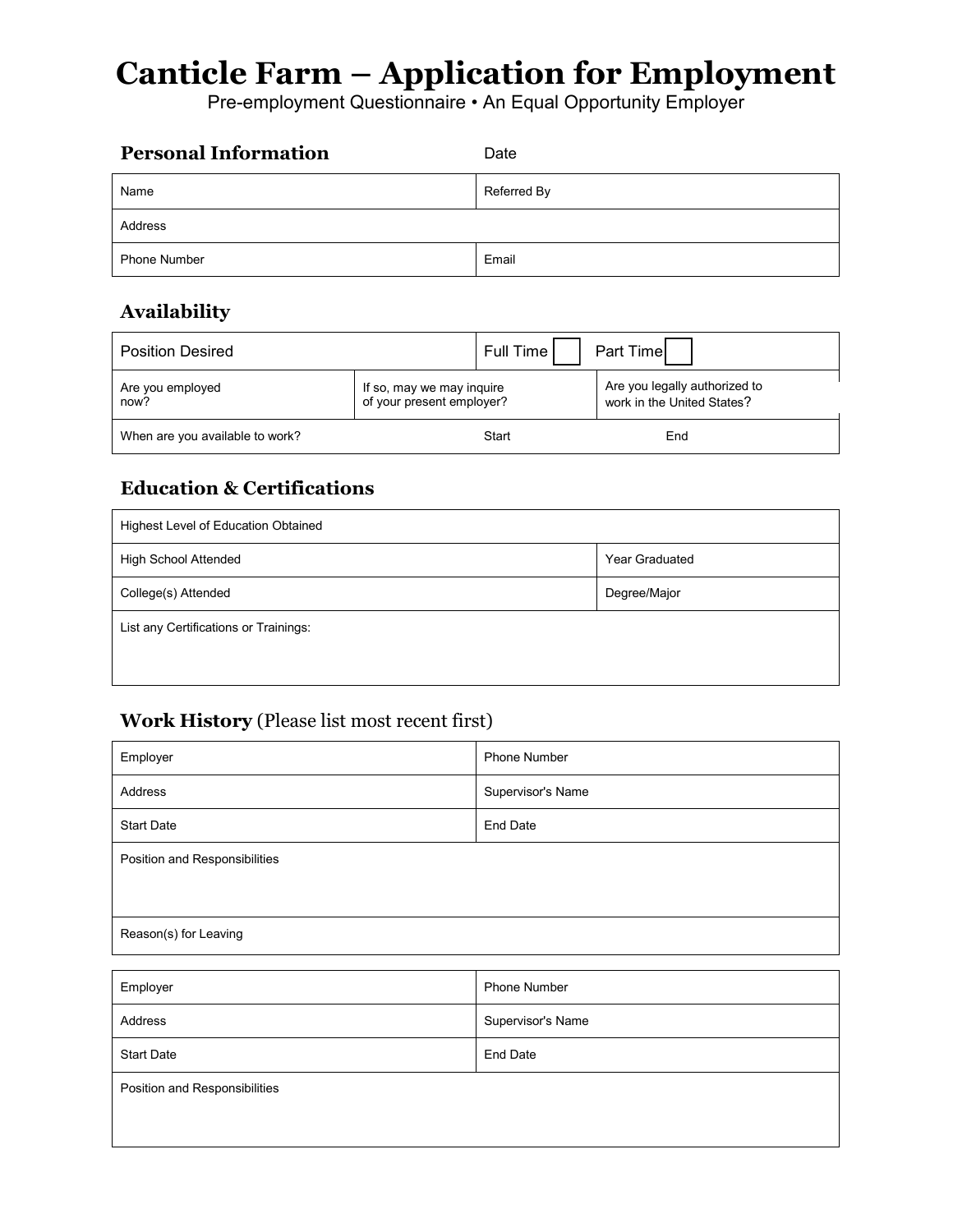# **Canticle Farm – Application for Employment**

Pre-employment Questionnaire • An Equal Opportunity Employer

| <b>Personal Information</b> | Date        |
|-----------------------------|-------------|
| Name                        | Referred By |
| Address                     |             |
| <b>Phone Number</b>         | Email       |

# **Availability**

| <b>Position Desired</b>         |                                                        | Full Time I | Part Time                                                   |
|---------------------------------|--------------------------------------------------------|-------------|-------------------------------------------------------------|
| Are you employed<br>now?        | If so, may we may inquire<br>of your present employer? |             | Are you legally authorized to<br>work in the United States? |
| When are you available to work? |                                                        | Start       | End                                                         |

# **Education & Certifications**

| Highest Level of Education Obtained   |                       |  |  |
|---------------------------------------|-----------------------|--|--|
| <b>High School Attended</b>           | <b>Year Graduated</b> |  |  |
| College(s) Attended                   | Degree/Major          |  |  |
| List any Certifications or Trainings: |                       |  |  |
|                                       |                       |  |  |

### **Work History** (Please list most recent first)

| Employer                      | <b>Phone Number</b> |  |
|-------------------------------|---------------------|--|
| Address                       | Supervisor's Name   |  |
| <b>Start Date</b>             | <b>End Date</b>     |  |
| Position and Responsibilities |                     |  |
| Reason(s) for Leaving         |                     |  |

| Employer                      | <b>Phone Number</b> |  |
|-------------------------------|---------------------|--|
| Address                       | Supervisor's Name   |  |
| <b>Start Date</b>             | <b>End Date</b>     |  |
| Position and Responsibilities |                     |  |
|                               |                     |  |